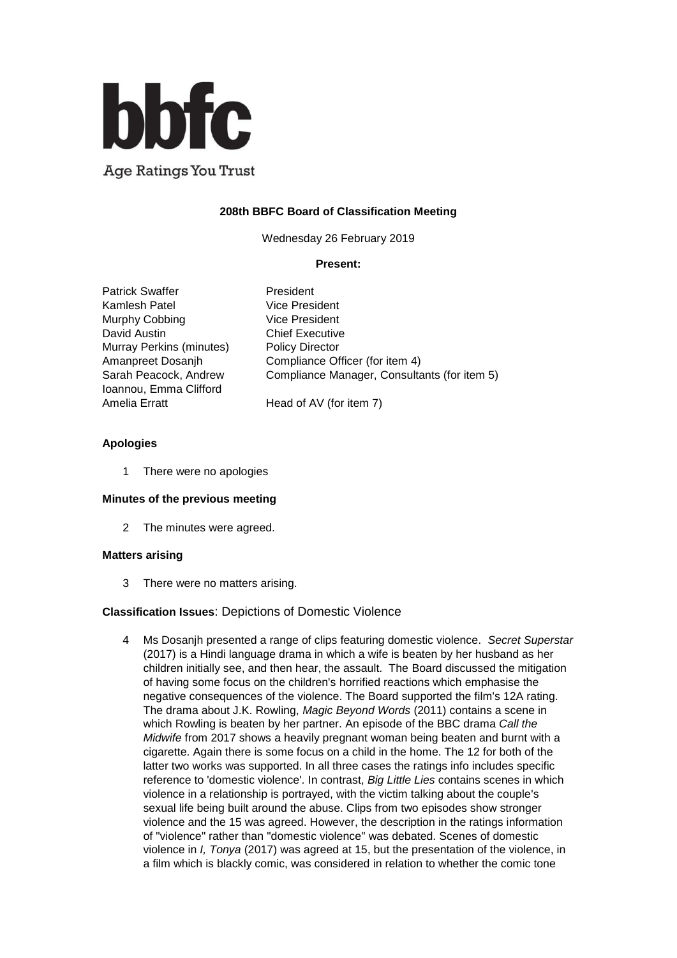

**Age Ratings You Trust** 

# **208th BBFC Board of Classification Meeting**

Wednesday 26 February 2019

### **Present:**

| <b>Patrick Swaffer</b>   | President                                    |
|--------------------------|----------------------------------------------|
| Kamlesh Patel            | <b>Vice President</b>                        |
| Murphy Cobbing           | <b>Vice President</b>                        |
| David Austin             | <b>Chief Executive</b>                       |
| Murray Perkins (minutes) | <b>Policy Director</b>                       |
| Amanpreet Dosanjh        | Compliance Officer (for item 4)              |
| Sarah Peacock, Andrew    | Compliance Manager, Consultants (for item 5) |
| Ioannou, Emma Clifford   |                                              |
| Amelia Erratt            | Head of AV (for item 7)                      |
|                          |                                              |

### **Apologies**

1 There were no apologies

#### **Minutes of the previous meeting**

2 The minutes were agreed.

#### **Matters arising**

3 There were no matters arising.

## **Classification Issues**: Depictions of Domestic Violence

4 Ms Dosanjh presented a range of clips featuring domestic violence. *Secret Superstar* (2017) is a Hindi language drama in which a wife is beaten by her husband as her children initially see, and then hear, the assault. The Board discussed the mitigation of having some focus on the children's horrified reactions which emphasise the negative consequences of the violence. The Board supported the film's 12A rating. The drama about J.K. Rowling, *Magic Beyond Words* (2011) contains a scene in which Rowling is beaten by her partner. An episode of the BBC drama *Call the Midwife* from 2017 shows a heavily pregnant woman being beaten and burnt with a cigarette. Again there is some focus on a child in the home. The 12 for both of the latter two works was supported. In all three cases the ratings info includes specific reference to 'domestic violence'. In contrast, *Big Little Lies* contains scenes in which violence in a relationship is portrayed, with the victim talking about the couple's sexual life being built around the abuse. Clips from two episodes show stronger violence and the 15 was agreed. However, the description in the ratings information of "violence" rather than "domestic violence" was debated. Scenes of domestic violence in *I, Tonya* (2017) was agreed at 15, but the presentation of the violence, in a film which is blackly comic, was considered in relation to whether the comic tone